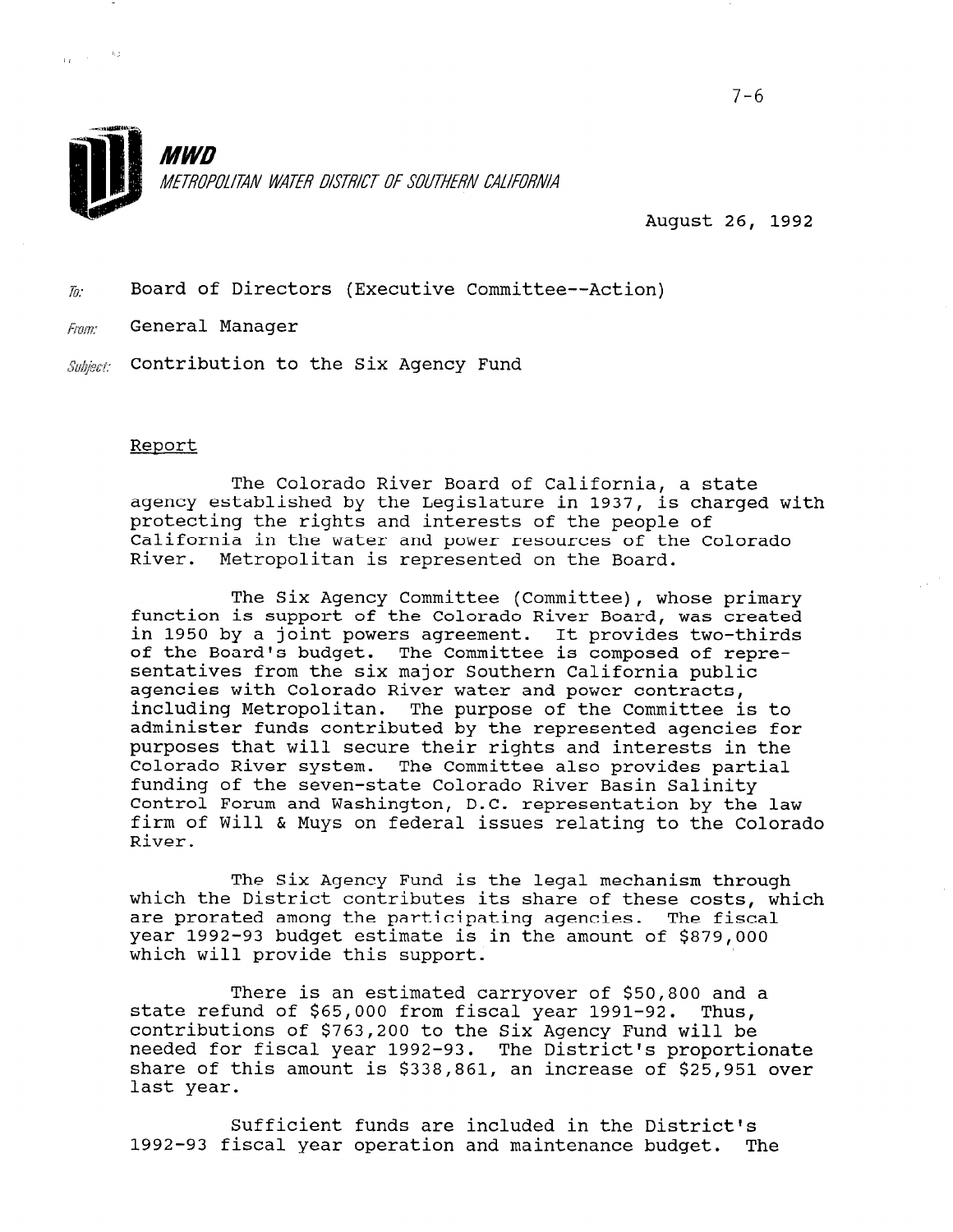

August 26, 1992

 $\bar{y}_i$ : Board of Directors (Executive Committee--Action)

**Fram:** General Manager

 $\frac{1}{16}$  :  $\frac{1}{16}$  :  $\frac{1}{16}$  :  $\frac{1}{16}$ 

 $\mathit{Subject:}$  Contribution to the Six Agency Fund

### Report

The Colorado River Board of California, a state agency established by the Legislature in 1937, is charged with agency escalarizined by the hogibrature in 1997, is one California in the water and power resources of the Colorado River. Metropolitan is represented on the Board.

The Six Agency Committee (Committee), whose primary function is support of the Colorado River Board, was created in 1950 by a joint powers agreement. It provides two-thirds of the Board's budget. The Committee is composed of representatives from the six major Southern California public agencies with Colorado River water and power contracts, including Metropolitan. The purpose of the Committee is to administer funds contributed by the represented agencies for purposes that will secure their rights and interests in the Colorado River system. The Committee also provides partial funding of the seven-state Colorado River Basin Salinity Control Forum and Washington, D.C. representation by the law firm of Will & Muys on federal issues relating to the Colorado River.

The Six Agency Fund is the legal mechanism through which the District contributes its share of these costs, which are prorated among the participating agencies. The fiscal are profaced among the participating agencies. The fisc year 1992-95 buuyet estimate i

There is an estimated carryover of \$50,800 and a state refund of \$65,000 from fiscal year 1991.00, Thus, state refund of \$65,000 from fiscal year 1991-92. Thus,<br>contributions of \$763,200 to the Six Agency Fund will be needed for fiscal year 1992-93. The District's proportionate needed for fiscal year 1992-93. The District's proportionate<br>share of this amount is 4338,861, an increase of \$25,951 snare or<br>.

Sufficient funds are included in the District's 5UIIICIENT TUNGS are included in the District's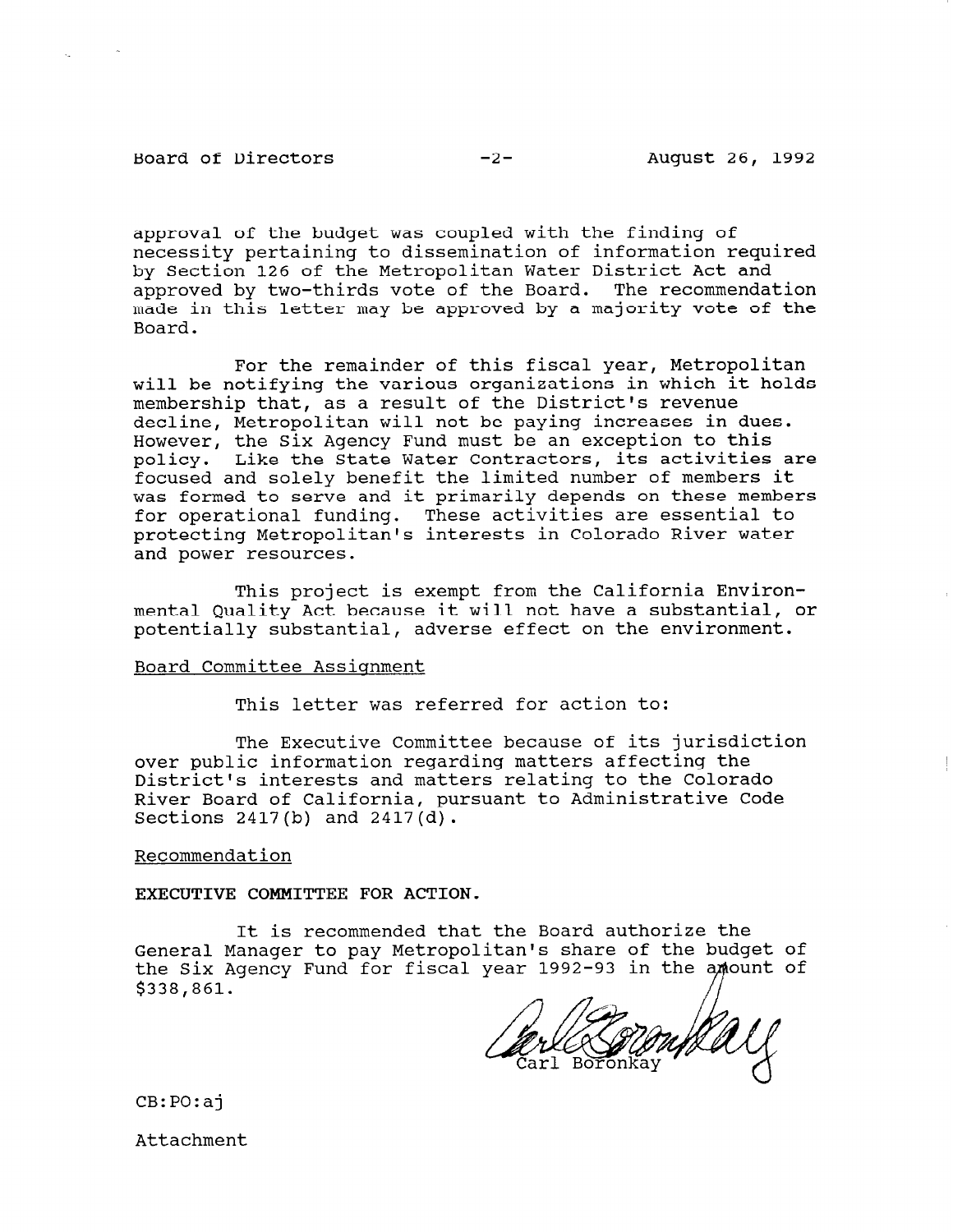Board of Directors -2- August 26, 1992

 $\mathcal{L}_{\text{max}}$ 

approval of the budget was coupled with the finding of necessity pertaining to dissemination of information required by Section 126 of the Metropolitan Water District Act and approved by two-thirds vote of the Board. The recommendation made in this letter may be approved by a majority vote of the Board.

For the remainder of this fiscal year, Metropolitan will be notifying the various organizations in which it holds membership that, as a result of the District's revenue decline, Metropolitan will not be paying increases in dues. However, the Six Agency Fund must be an exception to this policy. Like the State Water Contractors, its activities are focused and solely benefit the limited number of members it was formed to serve and it primarily depends on these members for operational funding. These activities are essential to protecting Metropolitan's interests in Colorado River water and power resources.

This project is exempt from the California Environmental Quality Act because it will not have a substantial, or potentially substantial, adverse effect on the environment.

#### Board Committee Assignment

This letter was referred for action to:

The Executive Committee because of its jurisdiction over public information regarding matters affecting the District's interests and matters relating to the Colorado River Board of California, pursuant to Administrative Code Sections 2417(b) and 2417(d).

#### Recommendation

EXECUTIVE COMMITTEE FOR ACTION.

It is recommended that the Board authorize the It is recommended that the board addition are the<br>General Manager to pass Material iteria share of the budget of the Six Agency Fund for fiscal year 1992-93 in the the Six Agency Fund for fiscal year 1992-93 in the amount of  $$338,861$ .

CB:PO:aj

Attachment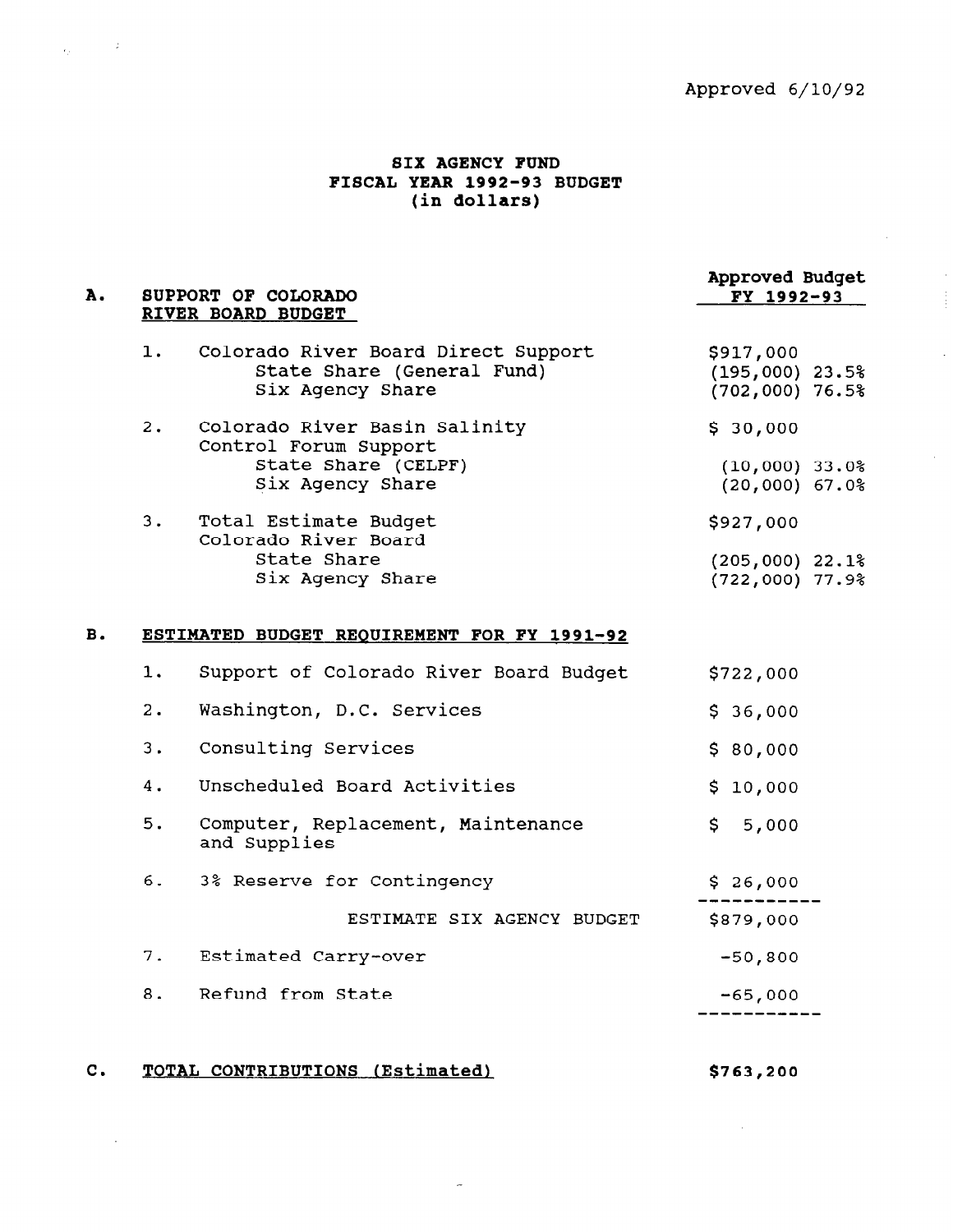## SIX AGENCY FUND FISCAL YEAR 1992-93 BUDGET (in dollars)

 $\sim 10^6$ 

 $\epsilon_{\rm in}$  .

A. SUPPORT OF COLORADO RIVER BOARD BUDGET 1. Colorado River Board Direct Support State Share (General Fund) Six Agency Share 2. Colorado River Basin Salinity Control Forum Support State Share (CELPF) Six Agency Share 3. Total Estimate Budget Colorado River Board State Share Six Agency Share B. ESTIMATED BUDGET REQUIREMENT FOR FY 1991-92 1. 2. 3. 4. 5. 6. 7. 8. Support of Colorado River Board Budget Washington, D.C. Services Consulting Services Unscheduled Board Activities Computer, Replacement, Maintenance and Supplies 3% Reserve for Contingency ESTIMATE SIX AGENCY BUDGET Estimated Carry-over Refund from State Approved Budget FY 1992-93 \$917,000 (195,000) 23.5% (702,000) 76.5% \$ 30,000 (10,000) 33.0% (20,000) 67.0% \$927,000 (205,000) 22.1% (722,000) 77.9% \$722,000 \$ 36,000 \$ 80,000 \$ 10,000 \$ 5,000  $5.26,00$  $\begin{bmatrix} 5 & 26 \\ 0 & 0 \end{bmatrix}$ \$879,000 -50,800  $\epsilon_{\rm F}$ ,000  $-65,00$ 

C. TOTAL CONTRIBUTIONS (Estimated) \$763,200